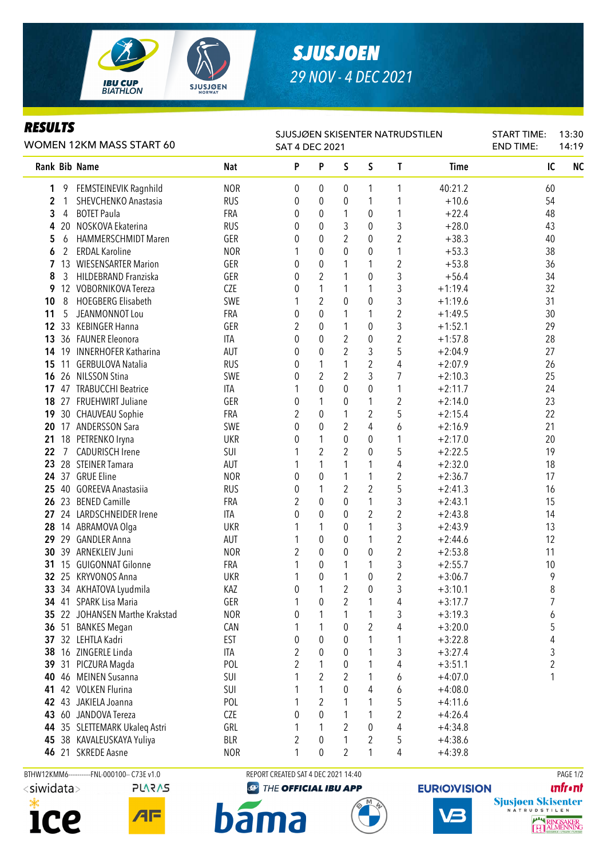

## *SJUSJOEN 29 NOV - 4 DEC 2021*

## *RESULTS*

| WOMEN 12KM MASS START 60 |    |                             |            | SJUSJØEN SKISENTER NATRUDSTILEN<br><b>SAT 4 DEC 2021</b> |                  |                |                  |                         |             | <b>START TIME:</b><br><b>END TIME:</b> | 13:30<br>14:19 |
|--------------------------|----|-----------------------------|------------|----------------------------------------------------------|------------------|----------------|------------------|-------------------------|-------------|----------------------------------------|----------------|
|                          |    | Rank Bib Name               | <b>Nat</b> | P                                                        | P                | S              | $\mathsf S$      | T                       | <b>Time</b> | IC                                     | N <sub>C</sub> |
| 1                        | 9  | FEMSTEINEVIK Ragnhild       | <b>NOR</b> | 0                                                        | 0                | 0              | 1                | 1                       | 40:21.2     | 60                                     |                |
| $\mathbf{2}$             | 1  | SHEVCHENKO Anastasia        | <b>RUS</b> | 0                                                        | 0                | $\mathbf 0$    | 1                | 1                       | $+10.6$     | 54                                     |                |
| 3                        | 4  | <b>BOTET Paula</b>          | <b>FRA</b> | 0                                                        | 0                | 1              | 0                | 1                       | $+22.4$     | 48                                     |                |
| 4                        | 20 | NOSKOVA Ekaterina           | <b>RUS</b> | 0                                                        | 0                | 3              | 0                | 3                       | $+28.0$     | 43                                     |                |
| 5                        | 6  | <b>HAMMERSCHMIDT Maren</b>  | GER        | 0                                                        | 0                | $\overline{2}$ | 0                | $\overline{2}$          | $+38.3$     | 40                                     |                |
| 6                        | 2  | <b>ERDAL Karoline</b>       | <b>NOR</b> |                                                          | 0                | $\theta$       | 0                | 1                       | $+53.3$     | 38                                     |                |
| 7                        | 13 | <b>WIESENSARTER Marion</b>  | GER        | 0                                                        | 0                | 1              | 1                | $\overline{c}$          | $+53.8$     | 36                                     |                |
| 8                        | 3  | HILDEBRAND Franziska        | GER        | 0                                                        | $\overline{2}$   | 1              | 0                | 3                       | $+56.4$     | 34                                     |                |
| 9                        |    | 12 VOBORNIKOVA Tereza       | <b>CZE</b> | 0                                                        | $\mathbf{1}$     | 1              | 1                | 3                       | $+1:19.4$   | 32                                     |                |
| 10                       | 8  | <b>HOEGBERG Elisabeth</b>   | SWE        |                                                          | $\overline{2}$   | $\mathbf{0}$   | 0                | 3                       | $+1:19.6$   | 31                                     |                |
| 11                       | 5  | JEANMONNOT Lou              | FRA        | 0                                                        | $\mathbf 0$      | 1              | 1                | $\boldsymbol{2}$        | $+1:49.5$   | 30                                     |                |
| 12                       |    | 33 KEBINGER Hanna           | GER        | $\overline{2}$                                           | $\mathbf 0$      | 1              | $\pmb{0}$        | 3                       | $+1:52.1$   | 29                                     |                |
| 13                       |    | 36 FAUNER Eleonora          | <b>ITA</b> | 0                                                        | $\boldsymbol{0}$ | $\overline{2}$ | 0                | $\overline{2}$          | $+1:57.8$   | 28                                     |                |
| 14                       |    | 19 INNERHOFER Katharina     | AUT        | 0                                                        | $\boldsymbol{0}$ | $\overline{2}$ | 3                | 5                       | $+2:04.9$   | 27                                     |                |
| 15                       | 11 | <b>GERBULOVA Natalia</b>    | <b>RUS</b> | 0                                                        | 1                | 1              | 2                | 4                       | $+2:07.9$   | 26                                     |                |
| 16                       | 26 | <b>NILSSON Stina</b>        | SWE        | 0                                                        | $\overline{2}$   | $\overline{2}$ | 3                | 7                       | $+2:10.3$   | 25                                     |                |
| 17                       |    | 47 TRABUCCHI Beatrice       | ITA        |                                                          | $\mathbf 0$      | $\mathbf 0$    | $\pmb{0}$        | 1                       | $+2:11.7$   | 24                                     |                |
| 18                       |    | 27 FRUEHWIRT Juliane        | GER        | 0                                                        | $\mathbf{1}$     | 0              | 1                | $\overline{2}$          | $+2:14.0$   | 23                                     |                |
| 19                       |    | 30 CHAUVEAU Sophie          | <b>FRA</b> | 2                                                        | $\overline{0}$   | $\mathbf{1}$   | 2                | 5                       | $+2:15.4$   | 22                                     |                |
| 20                       |    | 17 ANDERSSON Sara           | SWE        | $\mathbf{0}$                                             | $\overline{0}$   | $\overline{2}$ | 4                | 6                       | $+2:16.9$   | 21                                     |                |
| 21                       |    | 18 PETRENKO Iryna           | <b>UKR</b> | 0                                                        | $\mathbf{1}$     | $\mathbf 0$    | 0                | 1                       | $+2:17.0$   | 20                                     |                |
| 22                       | 7  | <b>CADURISCH Irene</b>      | SUI        |                                                          | $\overline{2}$   | $\overline{2}$ | 0                | 5                       | $+2:22.5$   | 19                                     |                |
| 23                       |    | 28 STEINER Tamara           | AUT        |                                                          | 1                | 1              | 1                | 4                       | $+2:32.0$   | 18                                     |                |
|                          |    | 24 37 GRUE Eline            | <b>NOR</b> | 0                                                        | 0                | 1              | 1                | 2                       | $+2:36.7$   | 17                                     |                |
| 25                       |    | 40 GOREEVA Anastasiia       | <b>RUS</b> | 0                                                        | 1                | $\overline{2}$ | 2                | 5                       | $+2:41.3$   | 16                                     |                |
| 26                       |    | 23 BENED Camille            | FRA        | 2                                                        | 0                | 0              | 1                | 3                       | $+2:43.1$   | 15                                     |                |
| 27                       |    | 24 LARDSCHNEIDER Irene      | <b>ITA</b> | 0                                                        | $\mathbf 0$      | $\theta$       | $\overline{2}$   | $\overline{2}$          | $+2:43.8$   | 14                                     |                |
| 28                       |    | 14 ABRAMOVA Olga            | <b>UKR</b> |                                                          | 1                | $\theta$       | 1                | 3                       | $+2:43.9$   | 13                                     |                |
| 29                       |    | 29 GANDLER Anna             | AUT        | 1                                                        | 0                | $\theta$       | 1                | $\overline{2}$          | $+2:44.6$   | 12                                     |                |
| 30                       |    | 39 ARNEKLEIV Juni           | <b>NOR</b> | 2                                                        | $\mathbf 0$      | $\theta$       | $\pmb{0}$        | $\overline{2}$          | $+2:53.8$   | 11                                     |                |
| 31                       |    | 15 GUIGONNAT Gilonne        | FRA        | 1                                                        | 0                | 1              | 1                | 3                       | $+2:55.7$   | 10                                     |                |
|                          |    | 32 25 KRYVONOS Anna         | <b>UKR</b> |                                                          | $\mathbf 0$      | 1              | $\boldsymbol{0}$ | $\overline{2}$          | $+3:06.7$   | 9                                      |                |
|                          |    | 33 34 AKHATOVA Lyudmila     | KAZ        | 0                                                        | 1                | $\overline{c}$ | $\pmb{0}$        | 3                       | $+3:10.1$   | 8                                      |                |
|                          |    | 34 41 SPARK Lisa Maria      | GER        | 1                                                        | 0                | 2              | 1                | 4                       | $+3:17.7$   | 7                                      |                |
| 35                       |    | 22 JOHANSEN Marthe Krakstad | <b>NOR</b> | 0                                                        | 1                | 1              |                  | 3                       | $+3:19.3$   | 6                                      |                |
| 36                       |    | 51 BANKES Megan             | CAN        |                                                          | 1                | 0              | $\overline{2}$   | 4                       | $+3:20.0$   | 5                                      |                |
| 37                       |    | 32 LEHTLA Kadri             | <b>EST</b> | 0                                                        | 0                | 0              |                  | 1                       | $+3:22.8$   | 4                                      |                |
| 38                       |    | 16 ZINGERLE Linda           | ITA        | 2                                                        | $\mathbf 0$      | 0              | 1                | 3                       | $+3:27.4$   | 3                                      |                |
| 39                       |    | 31 PICZURA Magda            | POL        | $\overline{2}$                                           | 1                | 0              | 1                | 4                       | $+3:51.1$   | 2                                      |                |
| 40                       |    | 46 MEINEN Susanna           | SUI        | 1                                                        | $\overline{2}$   | 2              | 1                | 6                       | $+4:07.0$   | 1                                      |                |
| 41                       |    | 42 VOLKEN Flurina           | SUI        |                                                          | 1                | $\theta$       | 4                | 6                       | $+4:08.0$   |                                        |                |
| 42                       |    | 43 JAKIELA Joanna           | POL        |                                                          | $\overline{2}$   | 1              | 1                | 5                       | $+4:11.6$   |                                        |                |
| 43                       |    | 60 JANDOVA Tereza           | <b>CZE</b> | 0                                                        | 0                | 1              | 1                | $\overline{\mathbf{c}}$ | $+4:26.4$   |                                        |                |
| 44                       |    | 35 SLETTEMARK Ukaleq Astri  | GRL        | 1                                                        | 1                | 2              | 0                | 4                       | $+4:34.8$   |                                        |                |
|                          |    | 45 38 KAVALEUSKAYA Yuliya   | <b>BLR</b> | $\overline{c}$                                           | 0                | 1              | 2                | 5                       | $+4:38.6$   |                                        |                |
|                          |    | 46 21 SKREDE Aasne          | <b>NOR</b> |                                                          | 0                |                |                  | 4                       | $+4:39.8$   |                                        |                |



```
PLARAS
```
 $A \mathsf{F}$ 

BTHW12KMM6-----------FNL-000100-- C73E v1.0 REPORT CREATED SAT 4 DEC 2021 14:40 REPORT CREATED SAT 4 DEC 2021 14:40

**bama** 

**<sup>49</sup> THE OFFICIAL IBU APP** 





**unfront**